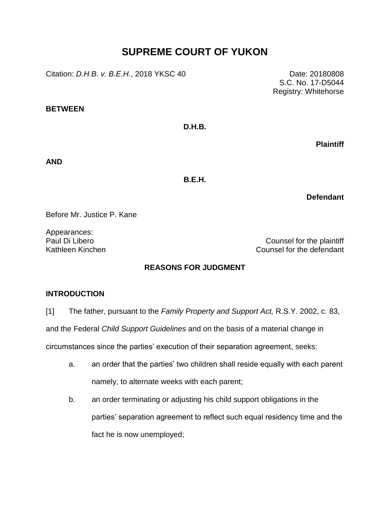# **SUPREME COURT OF YUKON**

Citation: *D.H.B. v. B.E.H.*, 2018 YKSC 40 Date: 20180808

**BETWEEN**

**D.H.B.**

**Plaintiff**

**AND**

**B.E.H.**

**Defendant**

Before Mr. Justice P. Kane

Appearances:

Paul Di Libero **Counsel for the plaintiff** Kathleen Kinchen Counsel for the defendant

# **REASONS FOR JUDGMENT**

# **INTRODUCTION**

[1] The father, pursuant to the *Family Property and Support Act,* R.S.Y. 2002, c. 83,

and the Federal *Child Support Guidelines* and on the basis of a material change in

circumstances since the parties' execution of their separation agreement, seeks:

- a. an order that the parties' two children shall reside equally with each parent namely, to alternate weeks with each parent;
- b. an order terminating or adjusting his child support obligations in the parties' separation agreement to reflect such equal residency time and the fact he is now unemployed;

S.C. No. 17-D5044 Registry: Whitehorse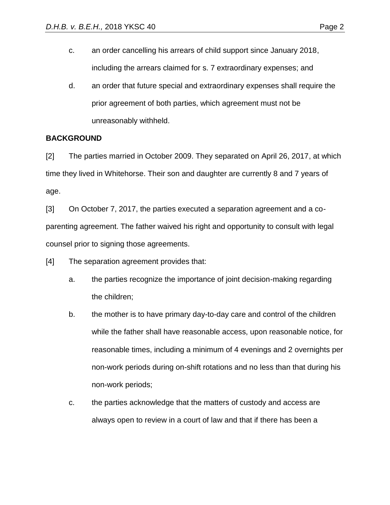- c. an order cancelling his arrears of child support since January 2018, including the arrears claimed for s. 7 extraordinary expenses; and
- d. an order that future special and extraordinary expenses shall require the prior agreement of both parties, which agreement must not be unreasonably withheld.

# **BACKGROUND**

[2] The parties married in October 2009. They separated on April 26, 2017, at which time they lived in Whitehorse. Their son and daughter are currently 8 and 7 years of age.

[3] On October 7, 2017, the parties executed a separation agreement and a coparenting agreement. The father waived his right and opportunity to consult with legal counsel prior to signing those agreements.

[4] The separation agreement provides that:

- a. the parties recognize the importance of joint decision-making regarding the children;
- b. the mother is to have primary day-to-day care and control of the children while the father shall have reasonable access, upon reasonable notice, for reasonable times, including a minimum of 4 evenings and 2 overnights per non-work periods during on-shift rotations and no less than that during his non-work periods;
- c. the parties acknowledge that the matters of custody and access are always open to review in a court of law and that if there has been a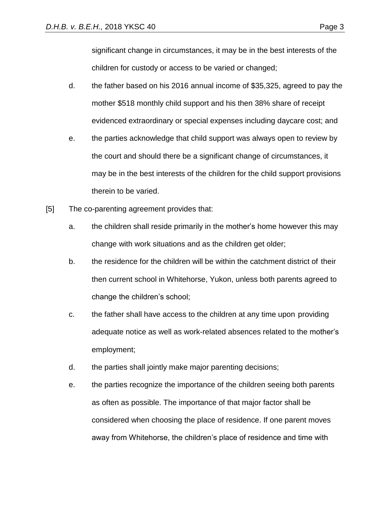significant change in circumstances, it may be in the best interests of the children for custody or access to be varied or changed;

- d. the father based on his 2016 annual income of \$35,325, agreed to pay the mother \$518 monthly child support and his then 38% share of receipt evidenced extraordinary or special expenses including daycare cost; and
- e. the parties acknowledge that child support was always open to review by the court and should there be a significant change of circumstances, it may be in the best interests of the children for the child support provisions therein to be varied.
- [5] The co-parenting agreement provides that:
	- a. the children shall reside primarily in the mother's home however this may change with work situations and as the children get older;
	- b. the residence for the children will be within the catchment district of their then current school in Whitehorse, Yukon, unless both parents agreed to change the children's school;
	- c. the father shall have access to the children at any time upon providing adequate notice as well as work-related absences related to the mother's employment;
	- d. the parties shall jointly make major parenting decisions;
	- e. the parties recognize the importance of the children seeing both parents as often as possible. The importance of that major factor shall be considered when choosing the place of residence. If one parent moves away from Whitehorse, the children's place of residence and time with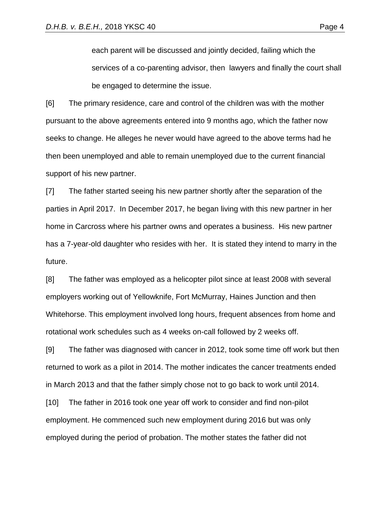each parent will be discussed and jointly decided, failing which the services of a co-parenting advisor, then lawyers and finally the court shall be engaged to determine the issue.

[6] The primary residence, care and control of the children was with the mother pursuant to the above agreements entered into 9 months ago, which the father now seeks to change. He alleges he never would have agreed to the above terms had he then been unemployed and able to remain unemployed due to the current financial support of his new partner.

[7] The father started seeing his new partner shortly after the separation of the parties in April 2017. In December 2017, he began living with this new partner in her home in Carcross where his partner owns and operates a business. His new partner has a 7-year-old daughter who resides with her. It is stated they intend to marry in the future.

[8] The father was employed as a helicopter pilot since at least 2008 with several employers working out of Yellowknife, Fort McMurray, Haines Junction and then Whitehorse. This employment involved long hours, frequent absences from home and rotational work schedules such as 4 weeks on-call followed by 2 weeks off.

[9] The father was diagnosed with cancer in 2012, took some time off work but then returned to work as a pilot in 2014. The mother indicates the cancer treatments ended in March 2013 and that the father simply chose not to go back to work until 2014.

[10] The father in 2016 took one year off work to consider and find non-pilot employment. He commenced such new employment during 2016 but was only employed during the period of probation. The mother states the father did not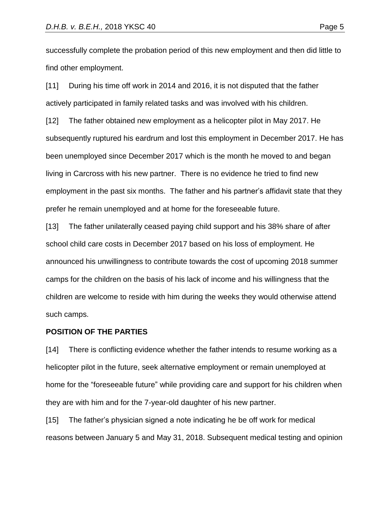successfully complete the probation period of this new employment and then did little to find other employment.

[11] During his time off work in 2014 and 2016, it is not disputed that the father actively participated in family related tasks and was involved with his children.

[12] The father obtained new employment as a helicopter pilot in May 2017. He subsequently ruptured his eardrum and lost this employment in December 2017. He has been unemployed since December 2017 which is the month he moved to and began living in Carcross with his new partner. There is no evidence he tried to find new employment in the past six months. The father and his partner's affidavit state that they prefer he remain unemployed and at home for the foreseeable future.

[13] The father unilaterally ceased paying child support and his 38% share of after school child care costs in December 2017 based on his loss of employment. He announced his unwillingness to contribute towards the cost of upcoming 2018 summer camps for the children on the basis of his lack of income and his willingness that the children are welcome to reside with him during the weeks they would otherwise attend such camps.

# **POSITION OF THE PARTIES**

[14] There is conflicting evidence whether the father intends to resume working as a helicopter pilot in the future, seek alternative employment or remain unemployed at home for the "foreseeable future" while providing care and support for his children when they are with him and for the 7-year-old daughter of his new partner.

[15] The father's physician signed a note indicating he be off work for medical reasons between January 5 and May 31, 2018. Subsequent medical testing and opinion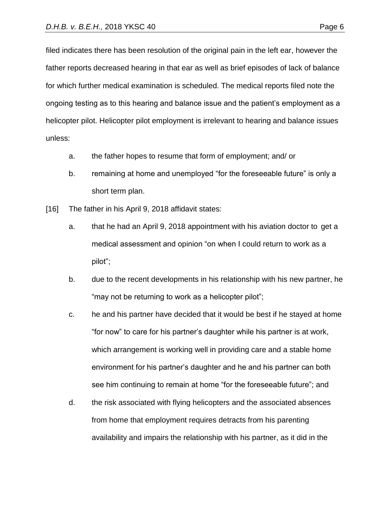for which further medical examination is scheduled. The medical reports filed note the ongoing testing as to this hearing and balance issue and the patient's employment as a helicopter pilot. Helicopter pilot employment is irrelevant to hearing and balance issues unless:

- a. the father hopes to resume that form of employment; and/ or
- b. remaining at home and unemployed "for the foreseeable future" is only a short term plan.
- [16] The father in his April 9, 2018 affidavit states:
	- a. that he had an April 9, 2018 appointment with his aviation doctor to get a medical assessment and opinion "on when I could return to work as a pilot";
	- b. due to the recent developments in his relationship with his new partner, he "may not be returning to work as a helicopter pilot";
	- c. he and his partner have decided that it would be best if he stayed at home "for now" to care for his partner's daughter while his partner is at work, which arrangement is working well in providing care and a stable home environment for his partner's daughter and he and his partner can both see him continuing to remain at home "for the foreseeable future"; and
	- d. the risk associated with flying helicopters and the associated absences from home that employment requires detracts from his parenting availability and impairs the relationship with his partner, as it did in the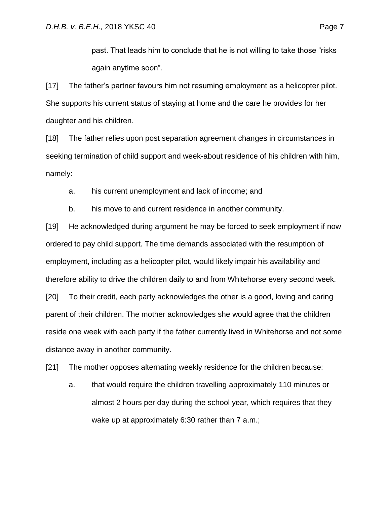past. That leads him to conclude that he is not willing to take those "risks again anytime soon".

[17] The father's partner favours him not resuming employment as a helicopter pilot. She supports his current status of staying at home and the care he provides for her daughter and his children.

[18] The father relies upon post separation agreement changes in circumstances in seeking termination of child support and week-about residence of his children with him, namely:

a. his current unemployment and lack of income; and

b. his move to and current residence in another community.

[19] He acknowledged during argument he may be forced to seek employment if now ordered to pay child support. The time demands associated with the resumption of employment, including as a helicopter pilot, would likely impair his availability and therefore ability to drive the children daily to and from Whitehorse every second week. [20] To their credit, each party acknowledges the other is a good, loving and caring parent of their children. The mother acknowledges she would agree that the children reside one week with each party if the father currently lived in Whitehorse and not some distance away in another community.

[21] The mother opposes alternating weekly residence for the children because:

a. that would require the children travelling approximately 110 minutes or almost 2 hours per day during the school year, which requires that they wake up at approximately 6:30 rather than 7 a.m.;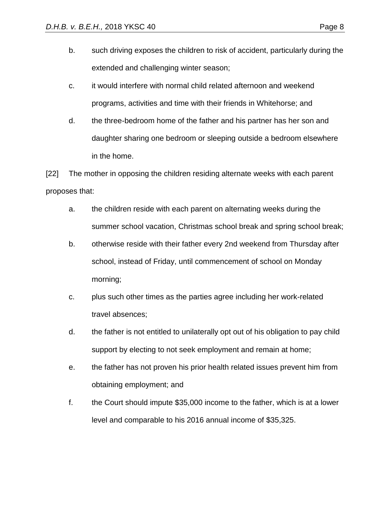- b. such driving exposes the children to risk of accident, particularly during the extended and challenging winter season;
- c. it would interfere with normal child related afternoon and weekend programs, activities and time with their friends in Whitehorse; and
- d. the three-bedroom home of the father and his partner has her son and daughter sharing one bedroom or sleeping outside a bedroom elsewhere in the home.

[22] The mother in opposing the children residing alternate weeks with each parent proposes that:

- a. the children reside with each parent on alternating weeks during the summer school vacation, Christmas school break and spring school break;
- b. otherwise reside with their father every 2nd weekend from Thursday after school, instead of Friday, until commencement of school on Monday morning;
- c. plus such other times as the parties agree including her work-related travel absences;
- d. the father is not entitled to unilaterally opt out of his obligation to pay child support by electing to not seek employment and remain at home;
- e. the father has not proven his prior health related issues prevent him from obtaining employment; and
- f. the Court should impute \$35,000 income to the father, which is at a lower level and comparable to his 2016 annual income of \$35,325.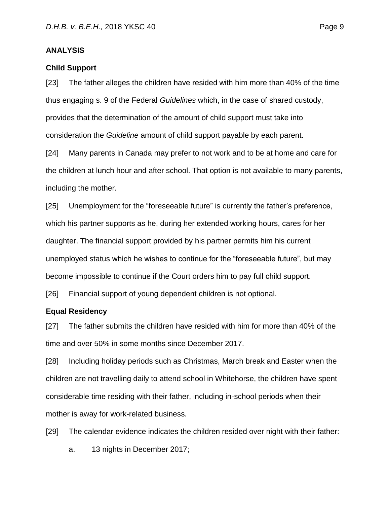## **ANALYSIS**

#### **Child Support**

[23] The father alleges the children have resided with him more than 40% of the time thus engaging s. 9 of the Federal *Guidelines* which, in the case of shared custody, provides that the determination of the amount of child support must take into consideration the *Guideline* amount of child support payable by each parent.

[24] Many parents in Canada may prefer to not work and to be at home and care for the children at lunch hour and after school. That option is not available to many parents, including the mother.

[25] Unemployment for the "foreseeable future" is currently the father's preference, which his partner supports as he, during her extended working hours, cares for her daughter. The financial support provided by his partner permits him his current unemployed status which he wishes to continue for the "foreseeable future", but may become impossible to continue if the Court orders him to pay full child support.

[26] Financial support of young dependent children is not optional.

#### **Equal Residency**

[27] The father submits the children have resided with him for more than 40% of the time and over 50% in some months since December 2017.

[28] Including holiday periods such as Christmas, March break and Easter when the children are not travelling daily to attend school in Whitehorse, the children have spent considerable time residing with their father, including in-school periods when their mother is away for work-related business.

[29] The calendar evidence indicates the children resided over night with their father:

a. 13 nights in December 2017;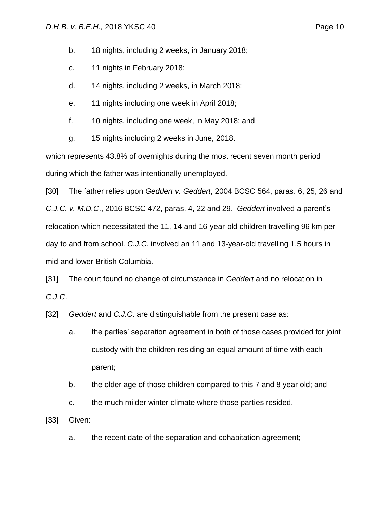b. 18 nights, including 2 weeks, in January 2018;

- c. 11 nights in February 2018;
- d. 14 nights, including 2 weeks, in March 2018;
- e. 11 nights including one week in April 2018;
- f. 10 nights, including one week, in May 2018; and
- g. 15 nights including 2 weeks in June, 2018.

which represents 43.8% of overnights during the most recent seven month period during which the father was intentionally unemployed.

[30] The father relies upon *Geddert v. Geddert*, 2004 BCSC 564, paras. 6, 25, 26 and *C.J.C. v. M.D.C*., 2016 BCSC 472, paras. 4, 22 and 29. *Geddert* involved a parent's relocation which necessitated the 11, 14 and 16-year-old children travelling 96 km per day to and from school. *C.J.C*. involved an 11 and 13-year-old travelling 1.5 hours in mid and lower British Columbia.

[31] The court found no change of circumstance in *Geddert* and no relocation in *C.J.C*.

[32] *Geddert* and *C.J.C*. are distinguishable from the present case as:

- a. the parties' separation agreement in both of those cases provided for joint custody with the children residing an equal amount of time with each parent;
- b. the older age of those children compared to this 7 and 8 year old; and
- c. the much milder winter climate where those parties resided.

[33] Given:

a. the recent date of the separation and cohabitation agreement;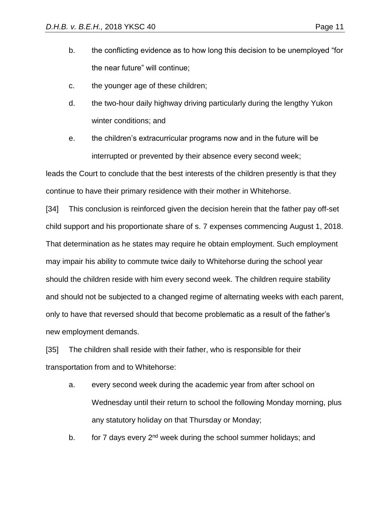- b. the conflicting evidence as to how long this decision to be unemployed "for the near future" will continue;
- c. the younger age of these children;
- d. the two-hour daily highway driving particularly during the lengthy Yukon winter conditions; and
- e. the children's extracurricular programs now and in the future will be interrupted or prevented by their absence every second week;

leads the Court to conclude that the best interests of the children presently is that they continue to have their primary residence with their mother in Whitehorse.

[34] This conclusion is reinforced given the decision herein that the father pay off-set child support and his proportionate share of s. 7 expenses commencing August 1, 2018. That determination as he states may require he obtain employment. Such employment may impair his ability to commute twice daily to Whitehorse during the school year should the children reside with him every second week. The children require stability and should not be subjected to a changed regime of alternating weeks with each parent, only to have that reversed should that become problematic as a result of the father's new employment demands.

[35] The children shall reside with their father, who is responsible for their transportation from and to Whitehorse:

a. every second week during the academic year from after school on Wednesday until their return to school the following Monday morning, plus any statutory holiday on that Thursday or Monday;

b. for 7 days every 2<sup>nd</sup> week during the school summer holidays; and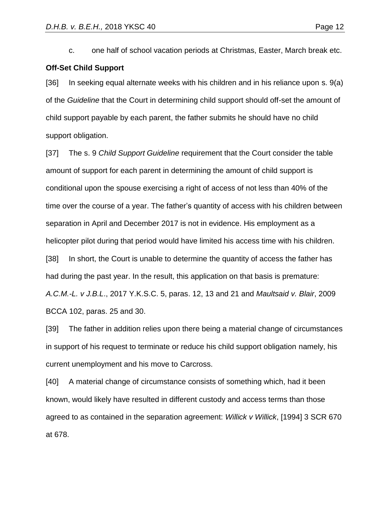c. one half of school vacation periods at Christmas, Easter, March break etc.

# **Off-Set Child Support**

[36] In seeking equal alternate weeks with his children and in his reliance upon s. 9(a) of the *Guideline* that the Court in determining child support should off-set the amount of child support payable by each parent, the father submits he should have no child support obligation.

[37] The s. 9 *Child Support Guideline* requirement that the Court consider the table amount of support for each parent in determining the amount of child support is conditional upon the spouse exercising a right of access of not less than 40% of the time over the course of a year. The father's quantity of access with his children between separation in April and December 2017 is not in evidence. His employment as a helicopter pilot during that period would have limited his access time with his children. [38] In short, the Court is unable to determine the quantity of access the father has had during the past year. In the result, this application on that basis is premature: *A.C.M.-L. v J.B.L*., 2017 Y.K.S.C. 5, paras. 12, 13 and 21 and *Maultsaid v. Blair*, 2009 BCCA 102, paras. 25 and 30.

[39] The father in addition relies upon there being a material change of circumstances in support of his request to terminate or reduce his child support obligation namely, his current unemployment and his move to Carcross.

[40] A material change of circumstance consists of something which, had it been known, would likely have resulted in different custody and access terms than those agreed to as contained in the separation agreement: *Willick v Willick*, [1994] 3 SCR 670 at 678.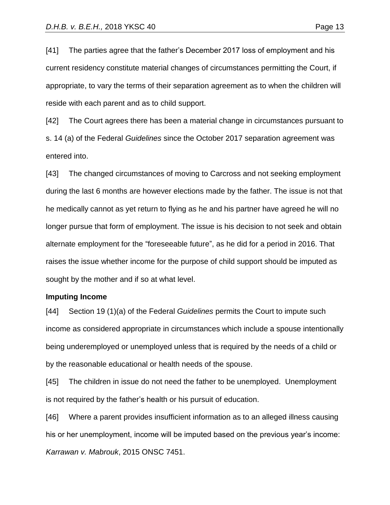[41] The parties agree that the father's December 2017 loss of employment and his current residency constitute material changes of circumstances permitting the Court, if appropriate, to vary the terms of their separation agreement as to when the children will reside with each parent and as to child support.

[42] The Court agrees there has been a material change in circumstances pursuant to s. 14 (a) of the Federal *Guidelines* since the October 2017 separation agreement was entered into.

[43] The changed circumstances of moving to Carcross and not seeking employment during the last 6 months are however elections made by the father. The issue is not that he medically cannot as yet return to flying as he and his partner have agreed he will no longer pursue that form of employment. The issue is his decision to not seek and obtain alternate employment for the "foreseeable future", as he did for a period in 2016. That raises the issue whether income for the purpose of child support should be imputed as sought by the mother and if so at what level.

#### **Imputing Income**

[44] Section 19 (1)(a) of the Federal *Guidelines* permits the Court to impute such income as considered appropriate in circumstances which include a spouse intentionally being underemployed or unemployed unless that is required by the needs of a child or by the reasonable educational or health needs of the spouse.

[45] The children in issue do not need the father to be unemployed. Unemployment is not required by the father's health or his pursuit of education.

[46] Where a parent provides insufficient information as to an alleged illness causing his or her unemployment, income will be imputed based on the previous year's income: *Karrawan v. Mabrouk*, 2015 ONSC 7451.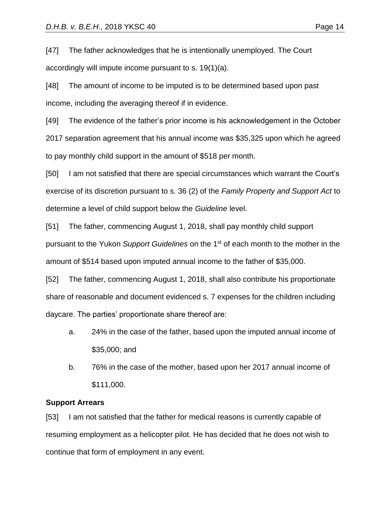[47] The father acknowledges that he is intentionally unemployed. The Court accordingly will impute income pursuant to s. 19(1)(a).

[48] The amount of income to be imputed is to be determined based upon past income, including the averaging thereof if in evidence.

[49] The evidence of the father's prior income is his acknowledgement in the October 2017 separation agreement that his annual income was \$35,325 upon which he agreed to pay monthly child support in the amount of \$518 per month.

[50] I am not satisfied that there are special circumstances which warrant the Court's exercise of its discretion pursuant to s. 36 (2) of the *Family Property and Support Act* to determine a level of child support below the *Guideline* level.

[51] The father, commencing August 1, 2018, shall pay monthly child support pursuant to the Yukon *Support Guidelines* on the 1st of each month to the mother in the amount of \$514 based upon imputed annual income to the father of \$35,000.

[52] The father, commencing August 1, 2018, shall also contribute his proportionate share of reasonable and document evidenced s. 7 expenses for the children including daycare. The parties' proportionate share thereof are:

- a. 24% in the case of the father, based upon the imputed annual income of \$35,000; and
- b. 76% in the case of the mother, based upon her 2017 annual income of \$111,000.

## **Support Arrears**

[53] I am not satisfied that the father for medical reasons is currently capable of resuming employment as a helicopter pilot. He has decided that he does not wish to continue that form of employment in any event.